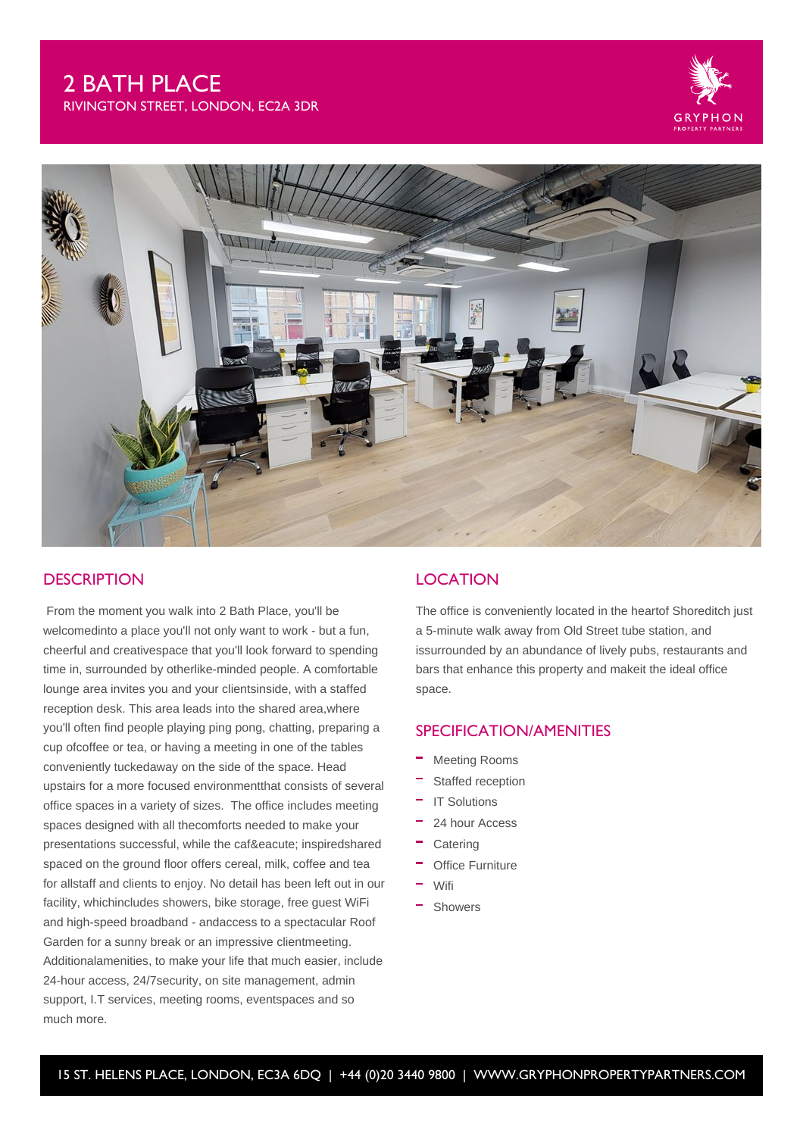# 2 BATH PLACE

RIVINGTON STREET, LONDON, EC2A 3DR





# **DESCRIPTION**

 From the moment you walk into 2 Bath Place, you'll be welcomedinto a place you'll not only want to work - but a fun, cheerful and creativespace that you'll look forward to spending time in, surrounded by otherlike-minded people. A comfortable lounge area invites you and your clientsinside, with a staffed reception desk. This area leads into the shared area,where you'll often find people playing ping pong, chatting, preparing a cup ofcoffee or tea, or having a meeting in one of the tables conveniently tuckedaway on the side of the space. Head upstairs for a more focused environmentthat consists of several office spaces in a variety of sizes. The office includes meeting spaces designed with all thecomforts needed to make your presentations successful, while the café inspiredshared spaced on the ground floor offers cereal, milk, coffee and tea for allstaff and clients to enjoy. No detail has been left out in our facility, whichincludes showers, bike storage, free guest WiFi and high-speed broadband - andaccess to a spectacular Roof Garden for a sunny break or an impressive clientmeeting. Additionalamenities, to make your life that much easier, include 24-hour access, 24/7security, on site management, admin support, I.T services, meeting rooms, eventspaces and so much more.

# **LOCATION**

The office is conveniently located in the heartof Shoreditch just a 5-minute walk away from Old Street tube station, and issurrounded by an abundance of lively pubs, restaurants and bars that enhance this property and makeit the ideal office space.

### SPECIFICATION/AMENITIES

- Meeting Rooms
- Staffed reception
- IT Solutions
- 24 hour Access
- **Catering**
- Office Furniture
- Wifi
- Showers